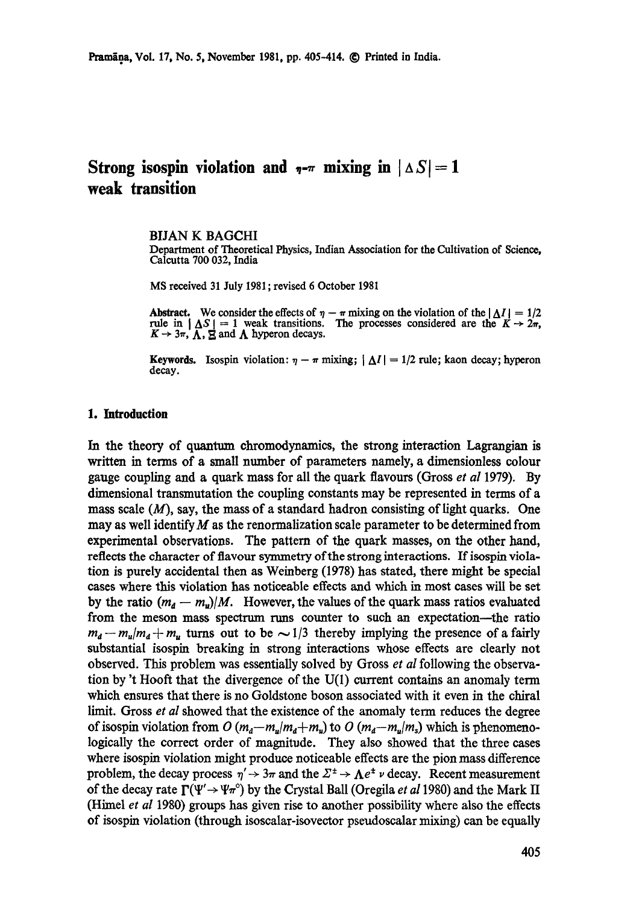# **Strong isospin violation and**  $_{\eta-\pi}$  **mixing in**  $| \Delta S | = 1$ **weak transition**

#### BIJAN K BAGCHI

Department of Theoretical Physics, Indian Association for the Cultivation of Science, Calcutta 700 032, India

MS received 31 July 1981; revised 6 October 1981

Abstract. We consider the effects of  $\eta - \pi$  mixing on the violation of the  $|\Delta I| = 1/2$ rule in  $|\Delta S| = 1$  weak transitions. The processes considered are the  $K \rightarrow 2\pi$ ,  $K \rightarrow 3\pi$ ,  $\Lambda$ ,  $\Xi$  and  $\Lambda$  hyperon decays.

Keywords. Isospin violation:  $\eta - \pi$  mixing;  $|\Delta I| = 1/2$  rule; kaon decay; hyperon decay.

#### **1. Introduction**

In the theory of quantum chromodynamics, the strong interaction Lagrangian is written in terms of a small number of parameters namely, a dimensionless colour gauge coupling and a quark mass for all the quark flavours (Gross *et aI* 1979). By dimensional transmutation the coupling constants may be represented in terms of a mass scale  $(M)$ , say, the mass of a standard hadron consisting of light quarks. One may as well identify M as the renormalization scale parameter to be determined from experimental observations. The pattern of the quark masses, on the other hand, reflects the character of flavour symmetry of the strong interactions. If isospin violation is purely accidental then as Weinberg (1978) has stated, there might be special cases where this violation has noticeable effects and which in most cases will be set by the ratio  $(m_d - m_u)/M$ . However, the values of the quark mass ratios evaluated from the meson mass spectrum runs counter to such an expectation--the ratio  $m_d - m_u/m_d + m_u$  turns out to be  $\sim 1/3$  thereby implying the presence of a fairly substantial isospin breaking in strong interactions whose effects are clearly not observed. This problem was essentially solved by Gross *et aI* following the observation by 't Hooft that the divergence of the U(1) current contains an anomaly term which ensures that there is no Goldstone boson associated with it even in the chiral limit. Gross *et al* showed that the existence of the anomaly term reduces the degree of isospin violation from  $O(m_a-m_a/m_a+m_u)$  to  $O(m_a-m_a/m_s)$  which is phenomenologically the correct order of magnitude. They also showed that the three cases where isospin violation might produce noticeable effects are the pion mass difference problem, the decay process  $\eta' \rightarrow 3\pi$  and the  $\Sigma^{\pm} \rightarrow \Lambda e^{\pm} \nu$  decay. Recent measurement of the decay rate  $\Gamma(\Psi' \to \Psi \pi^{\circ})$  by the Crystal Ball (Oregila *et al* 1980) and the Mark II (Himel *et al* 1980) groups has given rise to another possibility where also the effects of isospin violation (through isoscalar-isovector pseudoscalar mixing) can be equally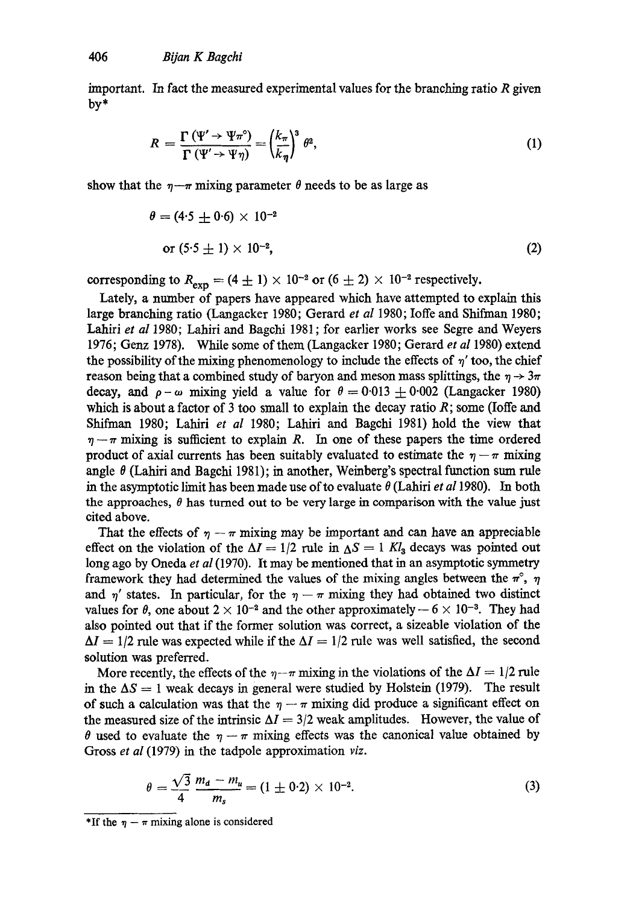important. In fact the measured experimental values for the branching ratio R given by\*

$$
R = \frac{\Gamma(\Psi' \to \Psi \pi^{\circ})}{\Gamma(\Psi' \to \Psi \eta)} = \left(\frac{k_{\pi}}{k_{\eta}}\right)^3 \theta^2, \tag{1}
$$

show that the  $\eta-\pi$  mixing parameter  $\theta$  needs to be as large as

$$
\theta = (4.5 \pm 0.6) \times 10^{-2}
$$
  
or  $(5.5 \pm 1) \times 10^{-2}$ , (2)

corresponding to  $R_{\text{exp}} = (4 \pm 1) \times 10^{-2}$  or  $(6 \pm 2) \times 10^{-2}$  respectively.

Lately, a number of papers have appeared which have attempted to explain this large branching ratio (Lamgacker 1980; Gerard *et al* 1980; Ioffe and Shifman 1980; Lahiri *et al* 1980; Lahiri and Bagchi 1981; for earlier works see Segre and Weyers 1976; Genz 1978). While some of them (Langacker 1980; Gerard *et al* 1980) extend the possibility of the mixing phenomenology to include the effects of  $\eta'$  too, the chief reason being that a combined study of baryon and meson mass splittings, the  $\eta \rightarrow 3\pi$ decay, and  $\rho - \omega$  mixing yield a value for  $\theta = 0.013 \pm 0.002$  (Langacker 1980) which is about a factor of 3 too small to explain the decay ratio  $R$ ; some (Ioffe and Shifman 1980; Lahiri et al 1980; Lahiri and Bagchi 1981) hold the view that  $\eta-\pi$  mixing is sufficient to explain R. In one of these papers the time ordered product of axial currents has been suitably evaluated to estimate the  $\eta - \pi$  mixing angle  $\theta$  (Lahiri and Bagchi 1981); in another, Weinberg's spectral function sum rule in the asymptotic limit has been made use of to evaluate  $\theta$  (Lahiri *et al* 1980). In both the approaches,  $\theta$  has turned out to be very large in comparison with the value just cited above.

That the effects of  $\eta - \pi$  mixing may be important and can have an appreciable effect on the violation of the  $\Delta I = 1/2$  rule in  $\Delta S = 1$  Kl<sub>3</sub> decays was pointed out long ago by Oneda *et al* (1970). It may be mentioned that in an asymptotic symmetry framework they had determined the values of the mixing angles between the  $\pi^{\circ}$ ,  $\eta$ and  $\eta'$  states. In particular, for the  $\eta-\pi$  mixing they had obtained two distinct values for  $\theta$ , one about  $2 \times 10^{-2}$  and the other approximately  $-6 \times 10^{-3}$ . They had also pointed out that if the former solution was correct, a sizeable violation of the  $\Delta I = 1/2$  rule was expected while if the  $\Delta I = 1/2$  rule was well satisfied, the second solution was preferred.

More recently, the effects of the  $\eta-\pi$  mixing in the violations of the  $\Delta I = 1/2$  rule in the  $\Delta S = 1$  weak decays in general were studied by Holstein (1979). The result of such a calculation was that the  $\eta - \pi$  mixing did produce a significant effect on the measured size of the intrinsic  $\Delta I = 3/2$  weak amplitudes. However, the value of  $\theta$  used to evaluate the  $\eta - \pi$  mixing effects was the canonical value obtained by Gross *et al* (1979) in the tadpole approximation *viz.* 

$$
\theta = \frac{\sqrt{3}}{4} \frac{m_d - m_u}{m_s} = (1 \pm 0.2) \times 10^{-2}.
$$
 (3)

<sup>\*</sup>If the  $\eta - \pi$  mixing alone is considered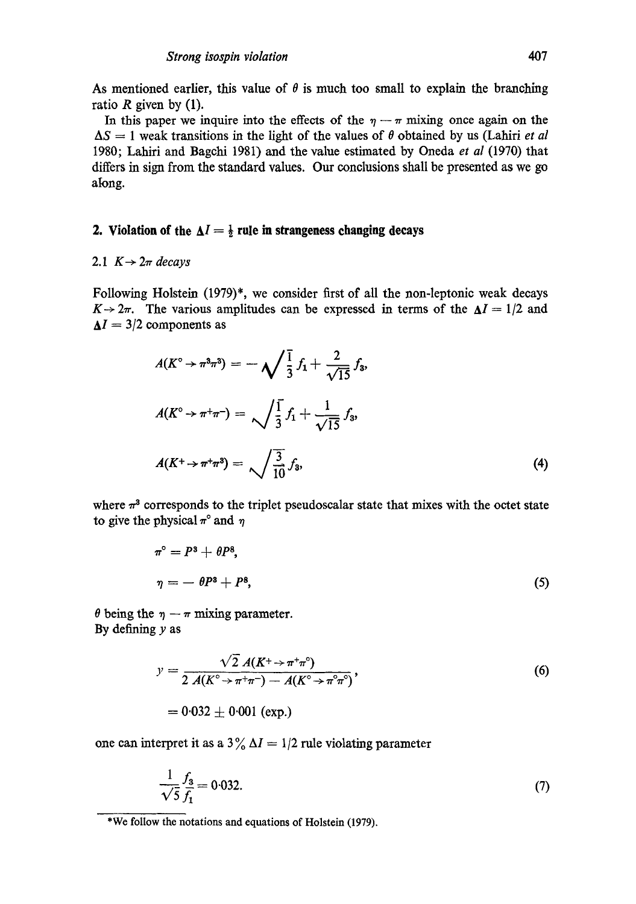As mentioned earlier, this value of  $\theta$  is much too small to explain the branching ratio  $R$  given by (1).

In this paper we inquire into the effects of the  $\eta - \pi$  mixing once again on the  $\Delta S = 1$  weak transitions in the light of the values of  $\theta$  obtained by us (Lahiri *et al* 1980; Lahiri and Bagchi 1981) and the value estimated by Oneda *et al* 0970) that differs in sign from the standard values. Our conclusions shall be presented as we go along.

#### **2. Violation of the**  $\Delta I = \frac{1}{2}$  **rule in strangeness changing decays**

## 2.1  $K \rightarrow 2\pi$  *decays*

Following Holstein (1979)\*, we consider first of all the non-leptonic weak decays  $K \rightarrow 2\pi$ . The various amplitudes can be expressed in terms of the  $\Delta I = 1/2$  and  $\Delta I = 3/2$  components as

$$
A(K^{\circ} \to \pi^3 \pi^3) = -\sqrt{\frac{1}{3}} f_1 + \frac{2}{\sqrt{15}} f_3,
$$
  

$$
A(K^{\circ} \to \pi^+ \pi^-) = \sqrt{\frac{1}{3}} f_1 + \frac{1}{\sqrt{15}} f_3,
$$
  

$$
A(K^+ \to \pi^+ \pi^3) = \sqrt{\frac{3}{10}} f_3,
$$
 (4)

where  $\pi^3$  corresponds to the triplet pseudoscalar state that mixes with the octet state to give the physical  $\pi^{\circ}$  and  $\eta$ 

$$
\pi^{\circ} = P^3 + \theta P^8,
$$
  
\n
$$
\eta = -\theta P^3 + P^8,
$$
\n(5)

 $\theta$  being the  $\eta - \pi$  mixing parameter. By defining  $y$  as

$$
y = \frac{\sqrt{2} A(K^+ \to \pi^+ \pi^-)}{2 A(K^{\circ} \to \pi^+ \pi^-) - A(K^{\circ} \to \pi^{\circ} \pi^{\circ})},
$$
  
= 0.032 ± 0.001 (exp.)

one can interpret it as a  $3\%$   $\Delta I = 1/2$  rule violating parameter

$$
\frac{1}{\sqrt{5}} \frac{f_3}{f_1} = 0.032. \tag{7}
$$

<sup>\*</sup>We follow the notations and equations of Holstein (1979).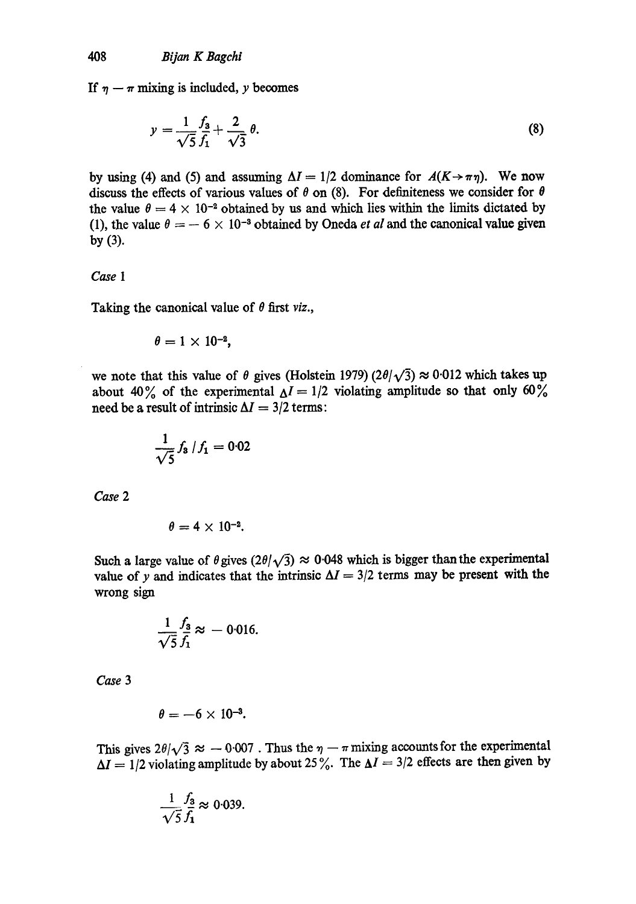If  $\eta - \pi$  mixing is included, y becomes

$$
y = \frac{1}{\sqrt{5}} \frac{f_3}{f_1} + \frac{2}{\sqrt{3}} \theta.
$$
 (8)

by using (4) and (5) and assuming  $\Delta I = 1/2$  dominance for  $A(K \rightarrow \pi \eta)$ . We now discuss the effects of various values of  $\theta$  on (8). For definiteness we consider for  $\theta$ the value  $\theta = 4 \times 10^{-2}$  obtained by us and which lies within the limits dictated by (1), the value  $\theta = -6 \times 10^{-3}$  obtained by Oneda *et al* and the canonical value given by (3).

#### *Case 1*

Taking the canonical value of  $\theta$  first *viz.*,

$$
\theta = 1 \times 10^{-2},
$$

we note that this value of  $\theta$  gives (Holstein 1979) (2 $\theta/\sqrt{3}$ )  $\approx 0.012$  which takes up about 40% of the experimental  $\Delta I = 1/2$  violating amplitude so that only 60% need be a result of intrinsic  $\Delta I = 3/2$  terms:

$$
\frac{1}{\sqrt{5}} f_3 / f_1 = 0.02
$$

*Case 2* 

$$
\theta=4\times10^{-2}.
$$

Such a large value of  $\theta$  gives  $(2\theta/\sqrt{3}) \approx 0.048$  which is bigger than the experimental value of y and indicates that the intrinsic  $\Delta I = 3/2$  terms may be present with the wrong sign

$$
\frac{1}{\sqrt{5}}\frac{f_3}{f_1}\approx -0.016.
$$

*Case 3* 

$$
\theta=-6\times10^{-3}.
$$

This gives  $2\theta/\sqrt{3} \approx -0.007$ . Thus the  $\eta - \pi$  mixing accounts for the experimental  $\Delta I = 1/2$  violating amplitude by about 25%. The  $\Delta I = 3/2$  effects are then given by

$$
\frac{1}{\sqrt{5}} \frac{f_3}{f_1} \approx 0.039.
$$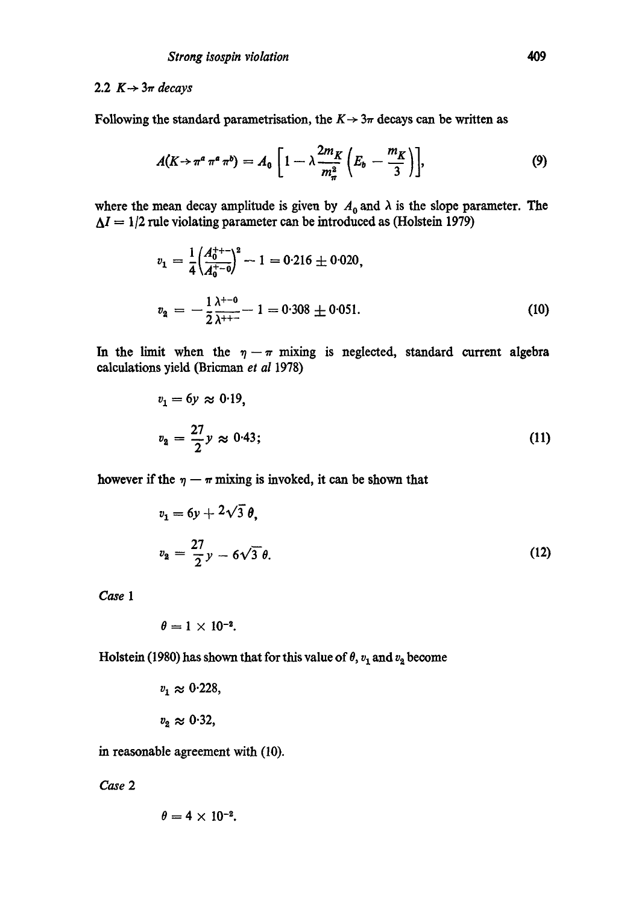#### 2.2  $K \rightarrow 3\pi$  *decays*

Following the standard parametrisation, the  $K \rightarrow 3\pi$  decays can be written as

$$
A(K \rightarrow \pi^a \pi^a \pi^b) = A_0 \left[ 1 - \lambda \frac{2m_K}{m_{\pi}^2} \left( E_b - \frac{m_K}{3} \right) \right],
$$
 (9)

where the mean decay amplitude is given by  $A_0$  and  $\lambda$  is the slope parameter. The  $\Delta I = 1/2$  rule violating parameter can be introduced as (Holstein 1979)

$$
v_1 = \frac{1}{4} \left( \frac{A_0^{++}}{A_0^{+-}0} \right)^2 - 1 = 0.216 \pm 0.020,
$$
  

$$
v_2 = -\frac{1}{2} \frac{\lambda^{+-0}}{\lambda^{++}} - 1 = 0.308 \pm 0.051.
$$
 (10)

In the limit when the  $\eta - \pi$  mixing is neglected, standard current algebra calculations yield (Bricman et al 1978)

$$
v_1 = 6y \approx 0.19,
$$
  

$$
v_2 = \frac{27}{2}y \approx 0.43;
$$
 (11)

however if the  $\eta - \pi$  mixing is invoked, it can be shown that

$$
v_1 = 6y + 2\sqrt{3} \theta,
$$
  

$$
v_2 = \frac{27}{2}y - 6\sqrt{3} \theta.
$$
 (12)

*Case 1* 

$$
\theta = 1 \times 10^{-2}.
$$

Holstein (1980) has shown that for this value of  $\theta$ ,  $v_1$  and  $v_2$  become

$$
v_1 \approx 0.228,
$$
  

$$
v_2 \approx 0.32,
$$

in reasonable agreement with (10).

*Case 2* 

$$
\theta=4\times10^{-2}.
$$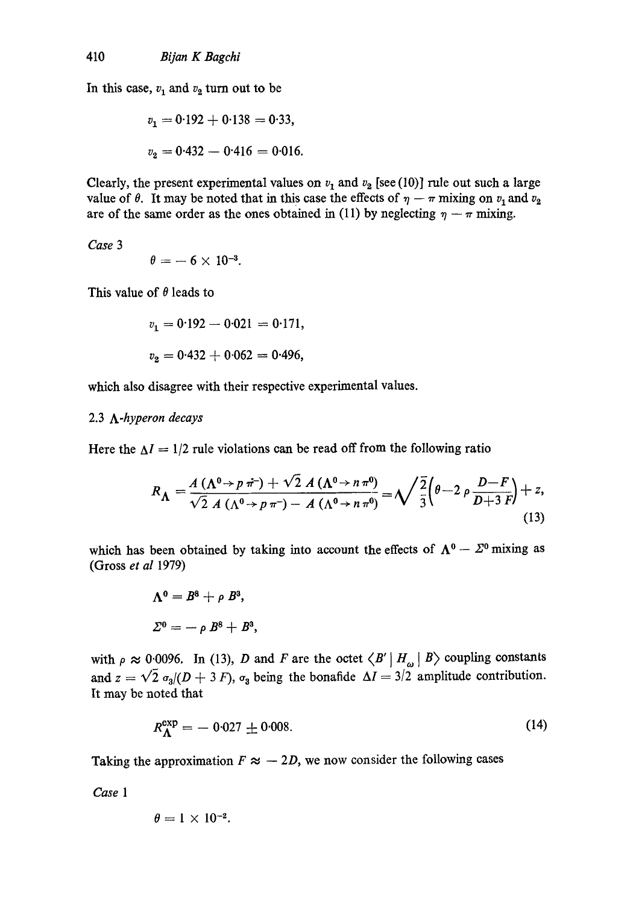In this case,  $v_1$  and  $v_2$  turn out to be

$$
v_1 = 0.192 + 0.138 = 0.33,
$$
  

$$
v_2 = 0.432 - 0.416 = 0.016.
$$

Clearly, the present experimental values on  $v_1$  and  $v_2$  [see (10)] rule out such a large value of  $\theta$ . It may be noted that in this case the effects of  $\eta - \pi$  mixing on  $v_1$  and  $v_2$ are of the same order as the ones obtained in (11) by neglecting  $\eta - \pi$  mixing.

*Case 3* 

$$
\theta = -6 \times 10^{-3}.
$$

This value of  $\theta$  leads to

$$
v_1 = 0.192 - 0.021 = 0.171,
$$
  

$$
v_2 = 0.432 + 0.062 = 0.496,
$$

which also disagree with their respective experimental values.

## 2.3 *A-hyperon decays*

Here the  $\Delta I = 1/2$  rule violations can be read off from the following ratio

$$
R_{\Lambda} = \frac{A(\Lambda^0 \rightarrow p \pi^+) + \sqrt{2} A(\Lambda^0 \rightarrow n \pi^0)}{\sqrt{2} A(\Lambda^0 \rightarrow p \pi^-) - A(\Lambda^0 \rightarrow n \pi^0)} = \sqrt{\frac{2}{3}} \left(\theta - 2 \rho \frac{D - F}{D + 3 F}\right) + z,
$$
\n(13)

which has been obtained by taking into account the effects of  $\Lambda^0 - \Sigma^0$  mixing as (Gross *et al* 1979)

$$
\Lambda^0 = B^8 + \rho B^3,
$$
  

$$
\Sigma^0 = -\rho B^8 + B^3,
$$

with  $\rho \approx 0.0096$ . In (13), D and F are the octet  $\langle B' | H_{\omega} | B \rangle$  coupling constants and  $z = \sqrt{2} \sigma_3/(D + 3 F)$ ,  $\sigma_3$  being the bonafide  $\Delta I = 3/2$  amplitude contribution. It may be noted that

$$
R_{\Lambda}^{\exp} = -0.027 \pm 0.008. \tag{14}
$$

Taking the approximation  $F \approx -2D$ , we now consider the following cases

*Case 1* 

$$
\theta = 1 \times 10^{-2}.
$$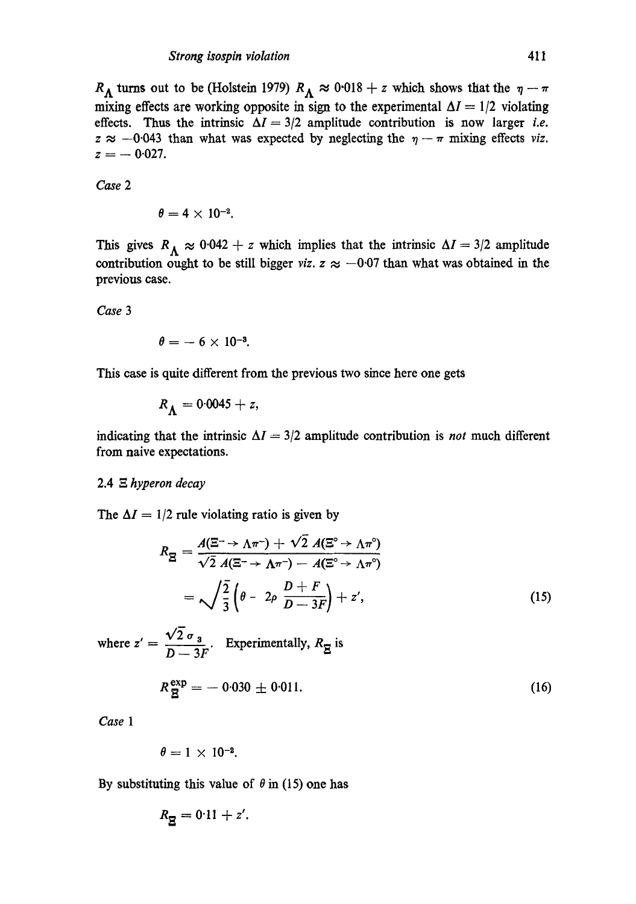$R_A$  turns out to be (Holstein 1979)  $R_A \approx 0.018 + z$  which shows that the  $\eta - \pi$ mixing effects are working opposite in sign to the experimental  $\Delta I = 1/2$  violating effects. Thus the intrinsic  $\Delta I = 3/2$  amplitude contribution is now larger *i.e.*  $z \approx -0.043$  than what was expected by neglecting the  $\eta - \pi$  mixing effects *viz*.  $z = -0.027$ .

*Case 2* 

$$
\theta=4\times 10^{-2}.
$$

This gives  $R_A \approx 0.042 + z$  which implies that the intrinsic  $\Delta I = 3/2$  amplitude contribution ought to be still bigger *viz.*  $z \approx -0.07$  than what was obtained in the previous case.

*Case 3* 

$$
\theta=-6\times10^{-3}.
$$

This case is quite different from the previous two since here one gets

$$
R_{\rm A}=0.0045+z,
$$

indicating that the intrinsic  $\Delta I = 3/2$  amplitude contribution is *not* much different from naive expectations.

## 2.4 .~. *hyperon decay*

The  $\Delta I = 1/2$  rule violating ratio is given by

$$
R_{\mathbf{g}} = \frac{A(\mathbf{g}^{\text{-}} \to \Lambda \pi^{\text{-}}) + \sqrt{2} A(\mathbf{g}^{\text{o}} \to \Lambda \pi^{\text{o}})}{\sqrt{2} A(\mathbf{g}^{\text{-}} \to \Lambda \pi^{\text{-}}) - A(\mathbf{g}^{\text{o}} \to \Lambda \pi^{\text{o}})}
$$
  
=  $\sqrt{\frac{2}{3}} \left( \theta - 2\rho \frac{D + F}{D - 3F} \right) + z',$  (15)

where  $z' = \frac{z - 3}{D - 3F}$ Experimentally,  $R_{\pi}$  is

$$
R_{\overline{E}}^{\text{exp}} = -0.030 \pm 0.011. \tag{16}
$$

*Case 1* 

$$
\theta = 1 \times 10^{-2}.
$$

By substituting this value of  $\theta$  in (15) one has

$$
R_{\overline{g}}=0.11+z'.
$$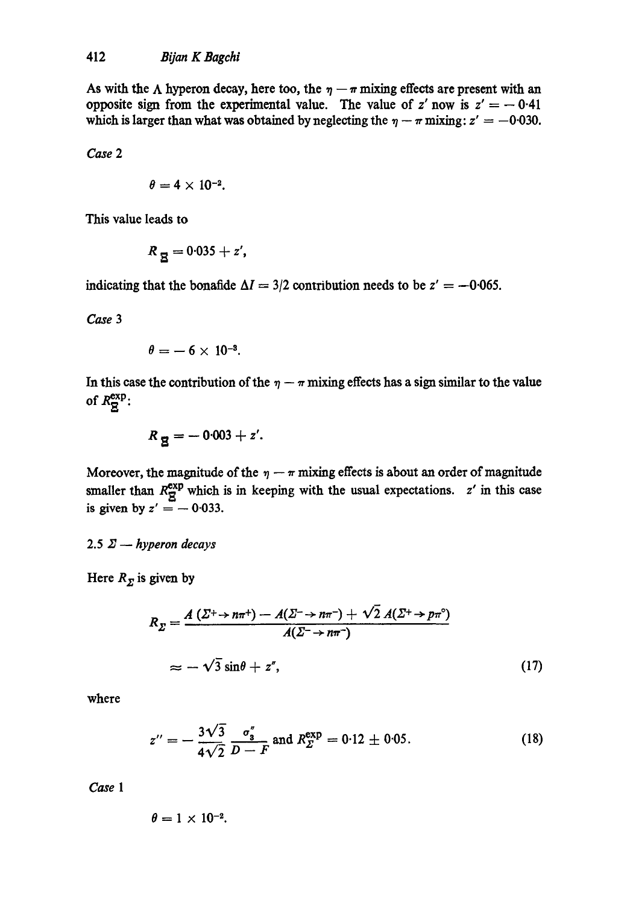As with the  $\Lambda$  hyperon decay, here too, the  $\eta - \pi$  mixing effects are present with an opposite sign from the experimental value. The value of  $z'$  now is  $z' = -0.41$ which is larger than what was obtained by neglecting the  $\eta - \pi$  mixing:  $z' = -0.030$ .

*Case 2* 

$$
\theta=4\times 10^{-2}.
$$

This value leads to

$$
R_{\overline{R}}=0.035+z^{\prime},
$$

indicating that the bonafide  $\Delta I = 3/2$  contribution needs to be  $z' = -0.065$ .

*Case 3* 

$$
\theta=-6\times10^{-3}.
$$

In this case the contribution of the  $\eta - \pi$  mixing effects has a sign similar to the value of  $R^{\text{exp}}_{\text{S}}$ :

$$
R_{\overline{g}}=-0.003+z'.
$$

Moreover, the magnitude of the  $\eta - \pi$  mixing effects is about an order of magnitude smaller than  $R_{\overline{S}}^{\exp}$  which is in keeping with the usual expectations. z' in this case is given by  $z' = -0.033$ .

2.5  $\Sigma$  – hyperon decays

Here  $R_{\Sigma}$  is given by

$$
R_{\Sigma} = \frac{A\left(\Sigma^{+} \to n\pi^{+}\right) - A(\Sigma^{-} \to n\pi^{-}) + \sqrt{2} A(\Sigma^{+} \to p\pi^{0})}{A(\Sigma^{-} \to n\pi^{-})}
$$
  

$$
\approx -\sqrt{3} \sin\theta + z'', \qquad (17)
$$

where

$$
z'' = -\frac{3\sqrt{3}}{4\sqrt{2}} \frac{\sigma_3''}{D - F} \text{ and } R_{\varSigma}^{\exp} = 0.12 \pm 0.05. \tag{18}
$$

*Case 1* 

$$
\theta = 1 \times 10^{-2}.
$$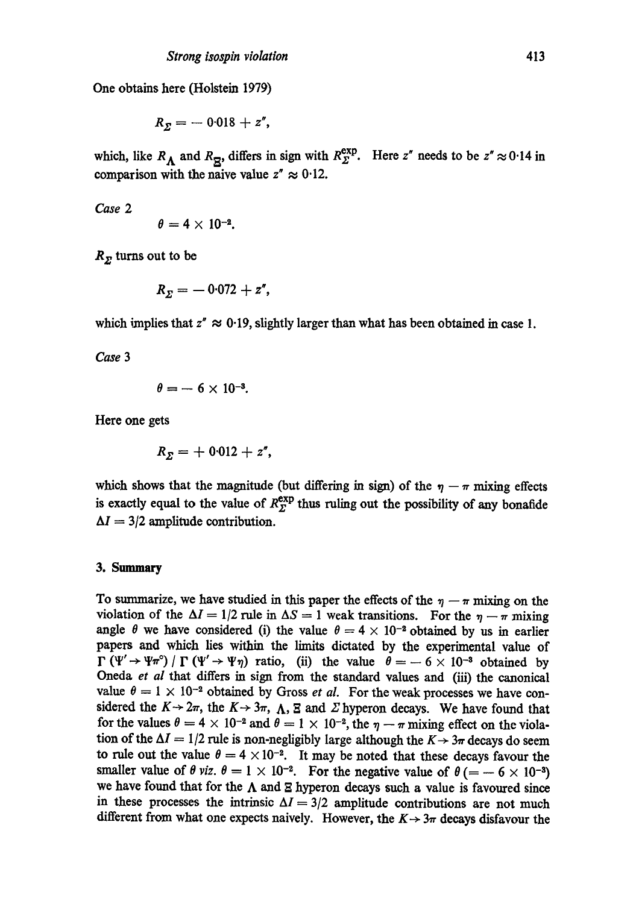One obtains here (Holstein 1979)

$$
R_{\Sigma}=-0.018+z^{\prime\prime},
$$

which, like  $R_A$  and  $R_{\overline{B}}$ , differs in sign with  $R_{\Sigma}^{exp}$ . Here z<sup>*r*</sup> needs to be z<sup>*r*</sup>  $\approx 0.14$  in comparison with the naive value  $z'' \approx 0.12$ .

*Case 2* 

$$
\theta=4\times10^{-2}.
$$

 $R_{\Sigma}$  turns out to be

$$
R_{\Sigma}=-0.072+z''
$$

which implies that  $z'' \approx 0.19$ , slightly larger than what has been obtained in case 1.

*Case 3* 

$$
\theta = -6 \times 10^{-3}.
$$

Here one gets

$$
R_{\Sigma}=+\,0.012+z''\,,
$$

which shows that the magnitude (but differing in sign) of the  $\eta - \pi$  mixing effects is exactly equal to the value of  $R^{\text{exp}}_{\Sigma}$  thus ruling out the possibility of any bonafide  $\Delta I = 3/2$  amplitude contribution.

#### 3. Summary

To summarize, we have studied in this paper the effects of the  $\eta - \pi$  mixing on the violation of the  $\Delta I = 1/2$  rule in  $\Delta S = 1$  weak transitions. For the  $\eta - \pi$  mixing angle  $\theta$  we have considered (i) the value  $\theta = 4 \times 10^{-2}$  obtained by us in earlier papers and which lies within the limits dictated by the experimental value of  $\Gamma(\Psi' \to \Psi \pi^{\circ}) / \Gamma(\Psi' \to \Psi \eta)$  ratio, (ii) the value  $\theta = -6 \times 10^{-3}$  obtained by Oneda *et al* that differs in sign from the standard values and (iii) the canonical value  $\theta = 1 \times 10^{-2}$  obtained by Gross *et al.* For the weak processes we have considered the  $K \rightarrow 2\pi$ , the  $K \rightarrow 3\pi$ ,  $\Lambda$ ,  $\Sigma$  and  $\Sigma$  hyperon decays. We have found that for the values  $\theta = 4 \times 10^{-2}$  and  $\theta = 1 \times 10^{-2}$ , the  $\eta - \pi$  mixing effect on the violation of the  $\Delta I = 1/2$  rule is non-negligibly large although the  $K \rightarrow 3\pi$  decays do seem to rule out the value  $\theta = 4 \times 10^{-2}$ . It may be noted that these decays favour the smaller value of  $\theta$  viz.  $\theta = 1 \times 10^{-2}$ . For the negative value of  $\theta$  (= -6 × 10<sup>-3</sup>) we have found that for the  $\Lambda$  and  $\Xi$  hyperon decays such a value is favoured since in these processes the intrinsic  $\Delta I = 3/2$  amplitude contributions are not much different from what one expects naively. However, the  $K \rightarrow 3\pi$  decays disfavour the